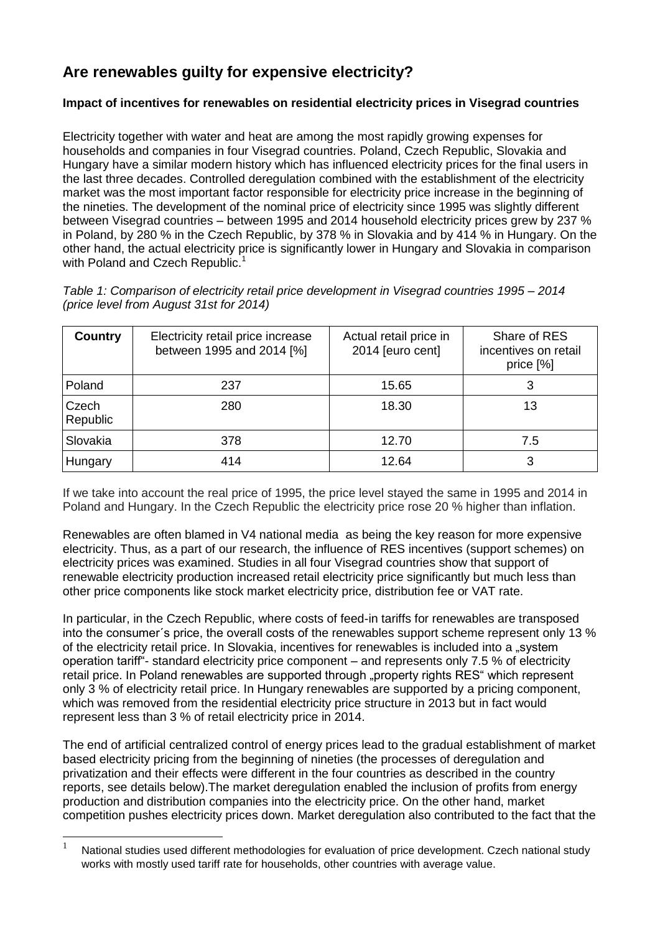## **Are renewables guilty for expensive electricity?**

## **Impact of incentives for renewables on residential electricity prices in Visegrad countries**

Electricity together with water and heat are among the most rapidly growing expenses for households and companies in four Visegrad countries. Poland, Czech Republic, Slovakia and Hungary have a similar modern history which has influenced electricity prices for the final users in the last three decades. Controlled deregulation combined with the establishment of the electricity market was the most important factor responsible for electricity price increase in the beginning of the nineties. The development of the nominal price of electricity since 1995 was slightly different between Visegrad countries – between 1995 and 2014 household electricity prices grew by 237 % in Poland, by 280 % in the Czech Republic, by 378 % in Slovakia and by 414 % in Hungary. On the other hand, the actual electricity price is significantly lower in Hungary and Slovakia in comparison with Poland and Czech Republic.<sup>1</sup>

*Table 1: Comparison of electricity retail price development in Visegrad countries 1995 – 2014 (price level from August 31st for 2014)*

| <b>Country</b>    | Electricity retail price increase<br>between 1995 and 2014 [%] | Actual retail price in<br>2014 [euro cent] | Share of RES<br>incentives on retail<br>price [%] |
|-------------------|----------------------------------------------------------------|--------------------------------------------|---------------------------------------------------|
| Poland            | 237                                                            | 15.65                                      | З                                                 |
| Czech<br>Republic | 280                                                            | 18.30                                      | 13                                                |
| Slovakia          | 378                                                            | 12.70                                      | 7.5                                               |
| Hungary           | 414                                                            | 12.64                                      | 3                                                 |

If we take into account the real price of 1995, the price level stayed the same in 1995 and 2014 in Poland and Hungary. In the Czech Republic the electricity price rose 20 % higher than inflation.

Renewables are often blamed in V4 national media as being the key reason for more expensive electricity. Thus, as a part of our research, the influence of RES incentives (support schemes) on electricity prices was examined. Studies in all four Visegrad countries show that support of renewable electricity production increased retail electricity price significantly but much less than other price components like stock market electricity price, distribution fee or VAT rate.

In particular, in the Czech Republic, where costs of feed-in tariffs for renewables are transposed into the consumer´s price, the overall costs of the renewables support scheme represent only 13 % of the electricity retail price. In Slovakia, incentives for renewables is included into a "system operation tariff"- standard electricity price component – and represents only 7.5 % of electricity retail price. In Poland renewables are supported through "property rights RES" which represent only 3 % of electricity retail price. In Hungary renewables are supported by a pricing component, which was removed from the residential electricity price structure in 2013 but in fact would represent less than 3 % of retail electricity price in 2014.

The end of artificial centralized control of energy prices lead to the gradual establishment of market based electricity pricing from the beginning of nineties (the processes of deregulation and privatization and their effects were different in the four countries as described in the country reports, see details below).The market deregulation enabled the inclusion of profits from energy production and distribution companies into the electricity price. On the other hand, market competition pushes electricity prices down. Market deregulation also contributed to the fact that the

 $\frac{1}{1}$ National studies used different methodologies for evaluation of price development. Czech national study works with mostly used tariff rate for households, other countries with average value.